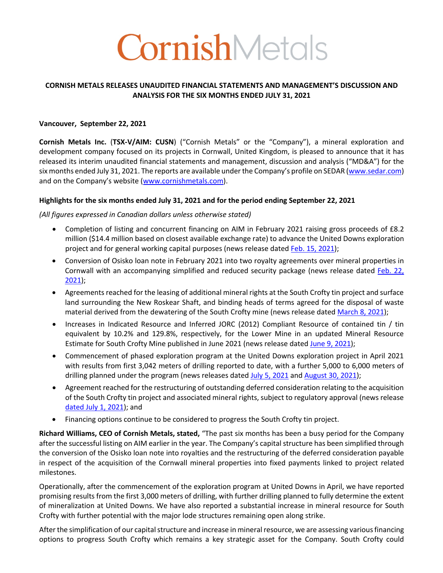# CornishMetals

#### **CORNISH METALS RELEASES UNAUDITED FINANCIAL STATEMENTS AND MANAGEMENT'S DISCUSSION AND ANALYSIS FOR THE SIX MONTHS ENDED JULY 31, 2021**

#### **Vancouver, September 22, 2021**

**Cornish Metals Inc.** (**TSX-V/AIM: CUSN**) ("Cornish Metals" or the "Company"), a mineral exploration and development company focused on its projects in Cornwall, United Kingdom, is pleased to announce that it has released its interim unaudited financial statements and management, discussion and analysis ("MD&A") for the six months ended July 31, 2021. The reports are available under the Company's profile on SEDAR (www.sedar.com) and on the Company's website (www.cornishmetals.com).

#### **Highlights for the six months ended July 31, 2021 and for the period ending September 22, 2021**

#### *(All figures expressed in Canadian dollars unless otherwise stated)*

- Completion of listing and concurrent financing on AIM in February 2021 raising gross proceeds of £8.2 million (\$14.4 million based on closest available exchange rate) to advance the United Downs exploration project and for general working capital purposes (news release dated Feb. 15, 2021);
- Conversion of Osisko loan note in February 2021 into two royalty agreements over mineral properties in Cornwall with an accompanying simplified and reduced security package (news release dated Feb. 22, 2021);
- Agreements reached for the leasing of additional mineral rights at the South Crofty tin project and surface land surrounding the New Roskear Shaft, and binding heads of terms agreed for the disposal of waste material derived from the dewatering of the South Crofty mine (news release dated March 8, 2021);
- Increases in Indicated Resource and Inferred JORC (2012) Compliant Resource of contained tin / tin equivalent by 10.2% and 129.8%, respectively, for the Lower Mine in an updated Mineral Resource Estimate for South Crofty Mine published in June 2021 (news release dated June 9, 2021);
- Commencement of phased exploration program at the United Downs exploration project in April 2021 with results from first 3,042 meters of drilling reported to date, with a further 5,000 to 6,000 meters of drilling planned under the program (news releases dated July 5, 2021 and August 30, 2021);
- Agreement reached for the restructuring of outstanding deferred consideration relating to the acquisition of the South Crofty tin project and associated mineral rights, subject to regulatory approval (news release dated July 1, 2021); and
- Financing options continue to be considered to progress the South Crofty tin project.

**Richard Williams, CEO of Cornish Metals, stated,** "The past six months has been a busy period for the Company after the successful listing on AIM earlier in the year. The Company's capital structure has been simplified through the conversion of the Osisko loan note into royalties and the restructuring of the deferred consideration payable in respect of the acquisition of the Cornwall mineral properties into fixed payments linked to project related milestones.

Operationally, after the commencement of the exploration program at United Downs in April, we have reported promising results from the first 3,000 meters of drilling, with further drilling planned to fully determine the extent of mineralization at United Downs. We have also reported a substantial increase in mineral resource for South Crofty with further potential with the major lode structures remaining open along strike.

After the simplification of our capital structure and increase in mineral resource, we are assessing various financing options to progress South Crofty which remains a key strategic asset for the Company. South Crofty could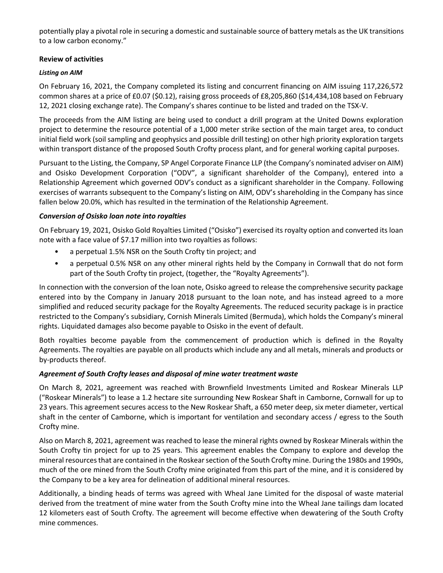potentially play a pivotal role in securing a domestic and sustainable source of battery metals as the UK transitions to a low carbon economy."

#### **Review of activities**

#### *Listing on AIM*

On February 16, 2021, the Company completed its listing and concurrent financing on AIM issuing 117,226,572 common shares at a price of £0.07 (\$0.12), raising gross proceeds of £8,205,860 (\$14,434,108 based on February 12, 2021 closing exchange rate). The Company's shares continue to be listed and traded on the TSX-V.

The proceeds from the AIM listing are being used to conduct a drill program at the United Downs exploration project to determine the resource potential of a 1,000 meter strike section of the main target area, to conduct initial field work (soil sampling and geophysics and possible drill testing) on other high priority exploration targets within transport distance of the proposed South Crofty process plant, and for general working capital purposes.

Pursuant to the Listing, the Company, SP Angel Corporate Finance LLP (the Company's nominated adviser on AIM) and Osisko Development Corporation ("ODV", a significant shareholder of the Company), entered into a Relationship Agreement which governed ODV's conduct as a significant shareholder in the Company. Following exercises of warrants subsequent to the Company's listing on AIM, ODV's shareholding in the Company has since fallen below 20.0%, which has resulted in the termination of the Relationship Agreement.

#### *Conversion of Osisko loan note into royalties*

On February 19, 2021, Osisko Gold Royalties Limited ("Osisko") exercised its royalty option and converted its loan note with a face value of \$7.17 million into two royalties as follows:

- a perpetual 1.5% NSR on the South Crofty tin project; and
- a perpetual 0.5% NSR on any other mineral rights held by the Company in Cornwall that do not form part of the South Crofty tin project, (together, the "Royalty Agreements").

In connection with the conversion of the loan note, Osisko agreed to release the comprehensive security package entered into by the Company in January 2018 pursuant to the loan note, and has instead agreed to a more simplified and reduced security package for the Royalty Agreements. The reduced security package is in practice restricted to the Company's subsidiary, Cornish Minerals Limited (Bermuda), which holds the Company's mineral rights. Liquidated damages also become payable to Osisko in the event of default.

Both royalties become payable from the commencement of production which is defined in the Royalty Agreements. The royalties are payable on all products which include any and all metals, minerals and products or by-products thereof.

## *Agreement of South Crofty leases and disposal of mine water treatment waste*

On March 8, 2021, agreement was reached with Brownfield Investments Limited and Roskear Minerals LLP ("Roskear Minerals") to lease a 1.2 hectare site surrounding New Roskear Shaft in Camborne, Cornwall for up to 23 years. This agreement secures access to the New Roskear Shaft, a 650 meter deep, six meter diameter, vertical shaft in the center of Camborne, which is important for ventilation and secondary access / egress to the South Crofty mine.

Also on March 8, 2021, agreement was reached to lease the mineral rights owned by Roskear Minerals within the South Crofty tin project for up to 25 years. This agreement enables the Company to explore and develop the mineral resources that are contained in the Roskearsection of the South Crofty mine. During the 1980s and 1990s, much of the ore mined from the South Crofty mine originated from this part of the mine, and it is considered by the Company to be a key area for delineation of additional mineral resources.

Additionally, a binding heads of terms was agreed with Wheal Jane Limited for the disposal of waste material derived from the treatment of mine water from the South Crofty mine into the Wheal Jane tailings dam located 12 kilometers east of South Crofty. The agreement will become effective when dewatering of the South Crofty mine commences.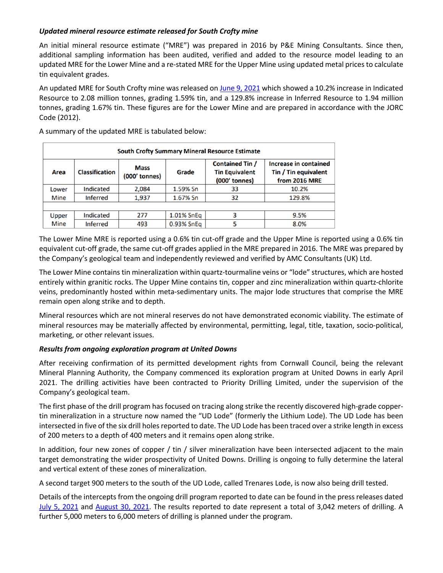## *Updated mineral resource estimate released for South Crofty mine*

An initial mineral resource estimate ("MRE") was prepared in 2016 by P&E Mining Consultants. Since then, additional sampling information has been audited, verified and added to the resource model leading to an updated MRE for the Lower Mine and a re-stated MRE for the Upper Mine using updated metal prices to calculate tin equivalent grades.

An updated MRE for South Crofty mine was released on June 9, 2021 which showed a 10.2% increase in Indicated Resource to 2.08 million tonnes, grading 1.59% tin, and a 129.8% increase in Inferred Resource to 1.94 million tonnes, grading 1.67% tin. These figures are for the Lower Mine and are prepared in accordance with the JORC Code (2012).

**South Crofty Summary Mineral Resource Estimate** Contained Tin / **Increase in contained Mass Classification** Area Grade **Tin Equivalent** Tin / Tin equivalent (000' tonnes) (000' tonnes) from 2016 MRE Lower Indicated 2,084 1.59% Sn 33 10.2% **Inferred** 1,937 1.67% Sn 32 129.8% **Mine** Indicated 3 9.5% Upper 277 1.01% SnEq **Mine Inferred** 493 0.93% SnEq 5 8.0%

A summary of the updated MRE is tabulated below:

The Lower Mine MRE is reported using a 0.6% tin cut-off grade and the Upper Mine is reported using a 0.6% tin equivalent cut-off grade, the same cut-off grades applied in the MRE prepared in 2016. The MRE was prepared by the Company's geological team and independently reviewed and verified by AMC Consultants (UK) Ltd.

The Lower Mine contains tin mineralization within quartz-tourmaline veins or "lode" structures, which are hosted entirely within granitic rocks. The Upper Mine contains tin, copper and zinc mineralization within quartz-chlorite veins, predominantly hosted within meta-sedimentary units. The major lode structures that comprise the MRE remain open along strike and to depth.

Mineral resources which are not mineral reserves do not have demonstrated economic viability. The estimate of mineral resources may be materially affected by environmental, permitting, legal, title, taxation, socio-political, marketing, or other relevant issues.

#### *Results from ongoing exploration program at United Downs*

After receiving confirmation of its permitted development rights from Cornwall Council, being the relevant Mineral Planning Authority, the Company commenced its exploration program at United Downs in early April 2021. The drilling activities have been contracted to Priority Drilling Limited, under the supervision of the Company's geological team.

The first phase of the drill program has focused on tracing along strike the recently discovered high-grade coppertin mineralization in a structure now named the "UD Lode" (formerly the Lithium Lode). The UD Lode has been intersected in five of the six drill holes reported to date. The UD Lode has been traced over a strike length in excess of 200 meters to a depth of 400 meters and it remains open along strike.

In addition, four new zones of copper / tin / silver mineralization have been intersected adjacent to the main target demonstrating the wider prospectivity of United Downs. Drilling is ongoing to fully determine the lateral and vertical extent of these zones of mineralization.

A second target 900 meters to the south of the UD Lode, called Trenares Lode, is now also being drill tested.

Details of the intercepts from the ongoing drill program reported to date can be found in the press releases dated July 5, 2021 and August 30, 2021. The results reported to date represent a total of 3,042 meters of drilling. A further 5,000 meters to 6,000 meters of drilling is planned under the program.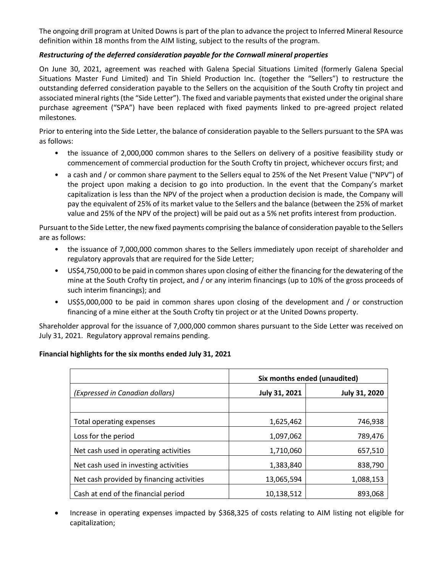The ongoing drill program at United Downs is part of the plan to advance the project to Inferred Mineral Resource definition within 18 months from the AIM listing, subject to the results of the program.

## *Restructuring of the deferred consideration payable for the Cornwall mineral properties*

On June 30, 2021, agreement was reached with Galena Special Situations Limited (formerly Galena Special Situations Master Fund Limited) and Tin Shield Production Inc. (together the "Sellers") to restructure the outstanding deferred consideration payable to the Sellers on the acquisition of the South Crofty tin project and associated mineral rights (the "Side Letter"). The fixed and variable payments that existed under the original share purchase agreement ("SPA") have been replaced with fixed payments linked to pre-agreed project related milestones.

Prior to entering into the Side Letter, the balance of consideration payable to the Sellers pursuant to the SPA was as follows:

- the issuance of 2,000,000 common shares to the Sellers on delivery of a positive feasibility study or commencement of commercial production for the South Crofty tin project, whichever occurs first; and
- a cash and / or common share payment to the Sellers equal to 25% of the Net Present Value ("NPV") of the project upon making a decision to go into production. In the event that the Company's market capitalization is less than the NPV of the project when a production decision is made, the Company will pay the equivalent of 25% of its market value to the Sellers and the balance (between the 25% of market value and 25% of the NPV of the project) will be paid out as a 5% net profits interest from production.

Pursuant to the Side Letter, the new fixed payments comprising the balance of consideration payable to the Sellers are as follows:

- the issuance of 7,000,000 common shares to the Sellers immediately upon receipt of shareholder and regulatory approvals that are required for the Side Letter;
- US\$4,750,000 to be paid in common shares upon closing of either the financing for the dewatering of the mine at the South Crofty tin project, and / or any interim financings (up to 10% of the gross proceeds of such interim financings); and
- US\$5,000,000 to be paid in common shares upon closing of the development and / or construction financing of a mine either at the South Crofty tin project or at the United Downs property.

Shareholder approval for the issuance of 7,000,000 common shares pursuant to the Side Letter was received on July 31, 2021. Regulatory approval remains pending.

## **Financial highlights for the six months ended July 31, 2021**

|                                           | Six months ended (unaudited) |                      |  |  |  |  |
|-------------------------------------------|------------------------------|----------------------|--|--|--|--|
| (Expressed in Canadian dollars)           | July 31, 2021                | <b>July 31, 2020</b> |  |  |  |  |
|                                           |                              |                      |  |  |  |  |
| Total operating expenses                  | 1,625,462                    | 746,938              |  |  |  |  |
| Loss for the period                       | 1,097,062                    | 789,476              |  |  |  |  |
| Net cash used in operating activities     | 1,710,060                    | 657,510              |  |  |  |  |
| Net cash used in investing activities     | 1,383,840                    | 838,790              |  |  |  |  |
| Net cash provided by financing activities | 13,065,594                   | 1,088,153            |  |  |  |  |
| Cash at end of the financial period       | 10,138,512                   | 893,068              |  |  |  |  |

• Increase in operating expenses impacted by \$368,325 of costs relating to AIM listing not eligible for capitalization;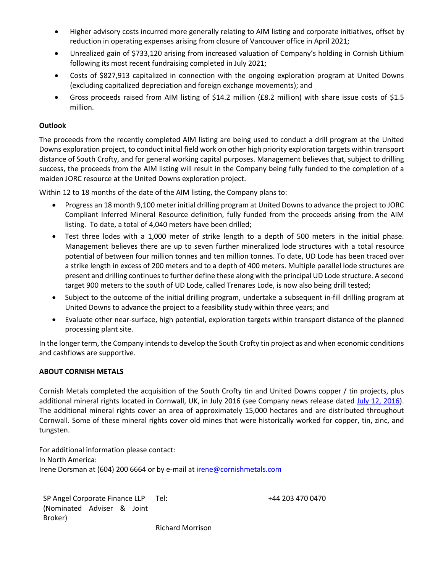- Higher advisory costs incurred more generally relating to AIM listing and corporate initiatives, offset by reduction in operating expenses arising from closure of Vancouver office in April 2021;
- Unrealized gain of \$733,120 arising from increased valuation of Company's holding in Cornish Lithium following its most recent fundraising completed in July 2021;
- Costs of \$827,913 capitalized in connection with the ongoing exploration program at United Downs (excluding capitalized depreciation and foreign exchange movements); and
- Gross proceeds raised from AIM listing of \$14.2 million (£8.2 million) with share issue costs of \$1.5 million.

#### **Outlook**

The proceeds from the recently completed AIM listing are being used to conduct a drill program at the United Downs exploration project, to conduct initial field work on other high priority exploration targets within transport distance of South Crofty, and for general working capital purposes. Management believes that, subject to drilling success, the proceeds from the AIM listing will result in the Company being fully funded to the completion of a maiden JORC resource at the United Downs exploration project.

Within 12 to 18 months of the date of the AIM listing, the Company plans to:

- Progress an 18 month 9,100 meter initial drilling program at United Downs to advance the project to JORC Compliant Inferred Mineral Resource definition, fully funded from the proceeds arising from the AIM listing. To date, a total of 4,040 meters have been drilled;
- Test three lodes with a 1,000 meter of strike length to a depth of 500 meters in the initial phase. Management believes there are up to seven further mineralized lode structures with a total resource potential of between four million tonnes and ten million tonnes. To date, UD Lode has been traced over a strike length in excess of 200 meters and to a depth of 400 meters. Multiple parallel lode structures are present and drilling continues to further define these along with the principal UD Lode structure. A second target 900 meters to the south of UD Lode, called Trenares Lode, is now also being drill tested;
- Subject to the outcome of the initial drilling program, undertake a subsequent in-fill drilling program at United Downs to advance the project to a feasibility study within three years; and
- Evaluate other near-surface, high potential, exploration targets within transport distance of the planned processing plant site.

In the longer term, the Company intends to develop the South Crofty tin project as and when economic conditions and cashflows are supportive.

#### **ABOUT CORNISH METALS**

Cornish Metals completed the acquisition of the South Crofty tin and United Downs copper / tin projects, plus additional mineral rights located in Cornwall, UK, in July 2016 (see Company news release dated July 12, 2016). The additional mineral rights cover an area of approximately 15,000 hectares and are distributed throughout Cornwall. Some of these mineral rights cover old mines that were historically worked for copper, tin, zinc, and tungsten.

For additional information please contact: In North America: Irene Dorsman at (604) 200 6664 or by e-mail at irene@cornishmetals.com

SP Angel Corporate Finance LLP (Nominated Adviser & Joint Broker)

Tel: +44 203 470 0470

Richard Morrison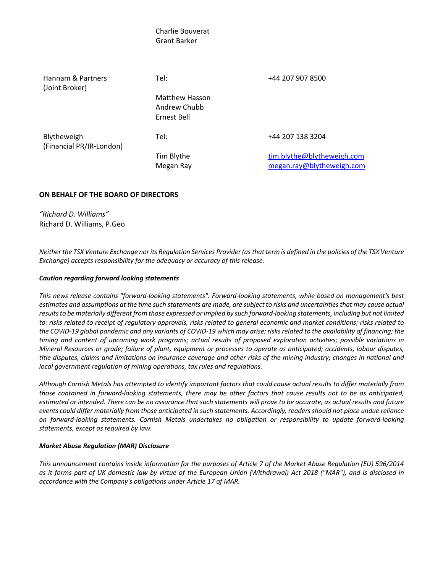# Charlie Bouverat Grant Barker Hannam & Partners (Joint Broker) Tel: +44 207 907 8500 Matthew Hasson Andrew Chubb Ernest Bell Blytheweigh (Financial PR/IR-London) Tel: +44 207 138 3204 Tim Blythe tim.blythe@blytheweigh.com Megan Ray megan.ray@blytheweigh.com

#### **ON BEHALF OF THE BOARD OF DIRECTORS**

*"Richard D. Williams"* Richard D. Williams, P.Geo

*Neither the TSX Venture Exchange nor its Regulation Services Provider (as that term is defined in the policies of the TSX Venture Exchange) accepts responsibility for the adequacy or accuracy of this release.* 

#### *Caution regarding forward looking statements*

*This news release contains "forward-looking statements". Forward-looking statements, while based on management's best estimates and assumptions at the time such statements are made, are subject to risks and uncertainties that may cause actual results to be materially different from those expressed or implied by such forward-looking statements, including but not limited to: risks related to receipt of regulatory approvals, risks related to general economic and market conditions; risks related to the COVID-19 global pandemic and any variants of COVID-19 which may arise; risks related to the availability of financing; the timing and content of upcoming work programs; actual results of proposed exploration activities; possible variations in Mineral Resources or grade; failure of plant, equipment or processes to operate as anticipated; accidents, labour disputes, title disputes, claims and limitations on insurance coverage and other risks of the mining industry; changes in national and local government regulation of mining operations, tax rules and regulations.* 

*Although Cornish Metals has attempted to identify important factors that could cause actual results to differ materially from those contained in forward-looking statements, there may be other factors that cause results not to be as anticipated, estimated or intended. There can be no assurance that such statements will prove to be accurate, as actual results and future events could differ materially from those anticipated in such statements. Accordingly, readers should not place undue reliance on forward-looking statements. Cornish Metals undertakes no obligation or responsibility to update forward-looking statements, except as required by law.* 

#### *Market Abuse Regulation (MAR) Disclosure*

*This announcement contains inside information for the purposes of Article 7 of the Market Abuse Regulation (EU) 596/2014 as it forms part of UK domestic law by virtue of the European Union (Withdrawal) Act 2018 ("MAR"), and is disclosed in accordance with the Company's obligations under Article 17 of MAR.*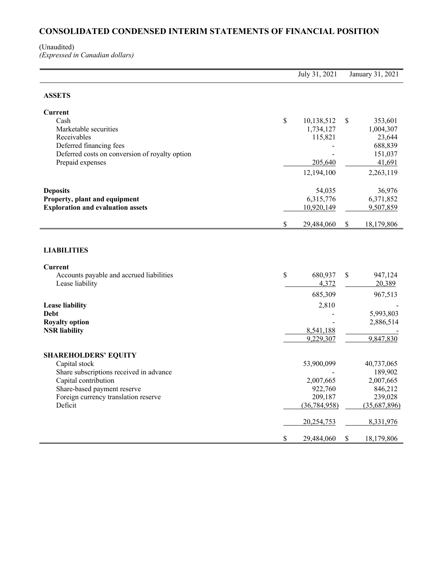# **CONSOLIDATED CONDENSED INTERIM STATEMENTS OF FINANCIAL POSITION**

#### (Unaudited) *(Expressed in Canadian dollars)*

|                                                                        | July 31, 2021                     | January 31, 2021 |                              |  |
|------------------------------------------------------------------------|-----------------------------------|------------------|------------------------------|--|
| <b>ASSETS</b>                                                          |                                   |                  |                              |  |
| Current                                                                |                                   |                  |                              |  |
| Cash                                                                   | \$<br>10,138,512                  | \$               | 353,601                      |  |
| Marketable securities                                                  | 1,734,127                         |                  | 1,004,307                    |  |
| Receivables                                                            | 115,821                           |                  | 23,644                       |  |
| Deferred financing fees                                                |                                   |                  | 688,839                      |  |
| Deferred costs on conversion of royalty option                         |                                   |                  | 151,037                      |  |
| Prepaid expenses                                                       | 205,640                           |                  | 41,691                       |  |
|                                                                        | 12,194,100                        |                  | 2,263,119                    |  |
| <b>Deposits</b>                                                        | 54,035                            |                  | 36,976                       |  |
| Property, plant and equipment                                          | 6,315,776                         |                  | 6,371,852                    |  |
| <b>Exploration and evaluation assets</b>                               | 10,920,149                        |                  | 9,507,859                    |  |
|                                                                        | \$<br>29,484,060                  | \$               | 18,179,806                   |  |
| Current<br>Accounts payable and accrued liabilities<br>Lease liability | \$<br>680,937<br>4,372<br>685,309 | \$               | 947,124<br>20,389<br>967,513 |  |
|                                                                        |                                   |                  |                              |  |
| Lease liability                                                        | 2,810                             |                  |                              |  |
| Debt                                                                   |                                   |                  | 5,993,803<br>2,886,514       |  |
| <b>Royalty option</b><br><b>NSR</b> liability                          | 8,541,188                         |                  |                              |  |
|                                                                        | 9,229,307                         |                  | 9,847,830                    |  |
| <b>SHAREHOLDERS' EQUITY</b>                                            |                                   |                  |                              |  |
| Capital stock                                                          | 53,900,099                        |                  | 40,737,065                   |  |
| Share subscriptions received in advance                                |                                   |                  | 189,902                      |  |
| Capital contribution                                                   | 2,007,665                         |                  | 2,007,665                    |  |
| Share-based payment reserve                                            | 922,760                           |                  | 846,212                      |  |
| Foreign currency translation reserve                                   | 209,187                           |                  | 239,028                      |  |
| Deficit                                                                | (36, 784, 958)                    |                  | (35,687,896)                 |  |
|                                                                        | 20,254,753                        |                  | 8,331,976                    |  |
|                                                                        | \$<br>29,484,060                  | \$               | 18,179,806                   |  |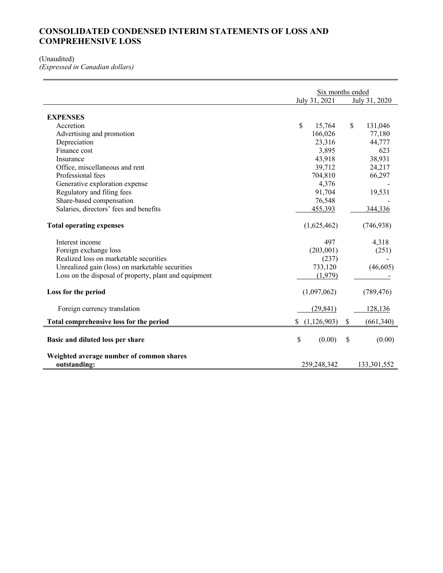## **CONSOLIDATED CONDENSED INTERIM STATEMENTS OF LOSS AND COMPREHENSIVE LOSS**

#### (Unaudited)

*(Expressed in Canadian dollars)*

|                                                          | Six months ended  |                         |  |  |  |
|----------------------------------------------------------|-------------------|-------------------------|--|--|--|
|                                                          | July 31, 2021     | July 31, 2020           |  |  |  |
| <b>EXPENSES</b>                                          |                   |                         |  |  |  |
| Accretion                                                | \$<br>15,764      | $\mathbb{S}$<br>131,046 |  |  |  |
| Advertising and promotion                                | 166,026           | 77,180                  |  |  |  |
|                                                          |                   |                         |  |  |  |
| Depreciation                                             | 23,316            | 44,777                  |  |  |  |
| Finance cost                                             | 3,895             | 623                     |  |  |  |
| Insurance                                                | 43,918            | 38,931                  |  |  |  |
| Office, miscellaneous and rent                           | 39,712            | 24,217                  |  |  |  |
| Professional fees                                        | 704,810           | 66,297                  |  |  |  |
| Generative exploration expense                           | 4,376             |                         |  |  |  |
| Regulatory and filing fees                               | 91,704            | 19,531                  |  |  |  |
| Share-based compensation                                 | 76,548            |                         |  |  |  |
| Salaries, directors' fees and benefits                   | 455,393           | 344,336                 |  |  |  |
| <b>Total operating expenses</b>                          | (1,625,462)       | (746, 938)              |  |  |  |
| Interest income                                          | 497               | 4,318                   |  |  |  |
| Foreign exchange loss                                    | (203,001)         | (251)                   |  |  |  |
| Realized loss on marketable securities                   | (237)             |                         |  |  |  |
| Unrealized gain (loss) on marketable securities          | 733,120           | (46, 605)               |  |  |  |
| Loss on the disposal of property, plant and equipment    | (1,979)           |                         |  |  |  |
| Loss for the period                                      | (1,097,062)       | (789, 476)              |  |  |  |
| Foreign currency translation                             | (29, 841)         | 128,136                 |  |  |  |
| Total comprehensive loss for the period                  | (1,126,903)<br>\$ | \$<br>(661, 340)        |  |  |  |
| Basic and diluted loss per share                         | \$<br>(0.00)      | \$<br>(0.00)            |  |  |  |
| Weighted average number of common shares<br>outstanding: | 259,248,342       | 133,301,552             |  |  |  |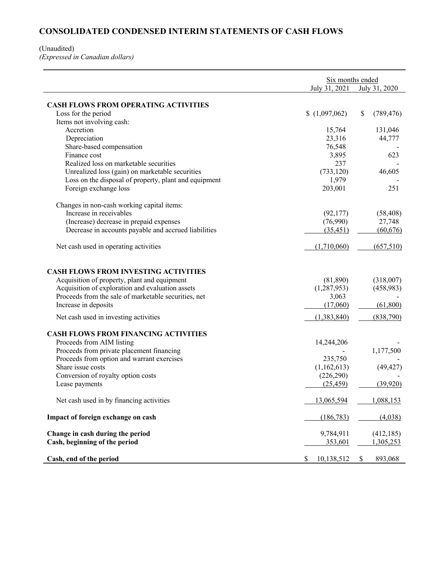# **CONSOLIDATED CONDENSED INTERIM STATEMENTS OF CASH FLOWS**

#### (Unaudited)

*(Expressed in Canadian dollars)*

|                                                       | Six months ended<br>July 31, 2021<br>July 31, 2020 |                  |  |  |
|-------------------------------------------------------|----------------------------------------------------|------------------|--|--|
|                                                       |                                                    |                  |  |  |
| <b>CASH FLOWS FROM OPERATING ACTIVITIES</b>           |                                                    |                  |  |  |
| Loss for the period                                   | (1,097,062)                                        | \$<br>(789, 476) |  |  |
| Items not involving cash:                             |                                                    |                  |  |  |
| Accretion                                             | 15,764                                             | 131,046          |  |  |
| Depreciation                                          | 23,316                                             | 44,777           |  |  |
| Share-based compensation                              | 76,548                                             |                  |  |  |
| Finance cost                                          | 3,895                                              | 623              |  |  |
| Realized loss on marketable securities                | 237                                                |                  |  |  |
| Unrealized loss (gain) on marketable securities       | (733, 120)                                         | 46,605           |  |  |
| Loss on the disposal of property, plant and equipment | 1,979                                              |                  |  |  |
| Foreign exchange loss                                 | 203,001                                            | 251              |  |  |
| Changes in non-cash working capital items:            |                                                    |                  |  |  |
| Increase in receivables                               | (92, 177)                                          | (58, 408)        |  |  |
| (Increase) decrease in prepaid expenses               | (76,990)                                           | 27,748           |  |  |
| Decrease in accounts payable and accrued liabilities  | (35, 451)                                          | (60, 676)        |  |  |
| Net cash used in operating activities                 | (1,710,060)                                        | (657, 510)       |  |  |
| <b>CASH FLOWS FROM INVESTING ACTIVITIES</b>           |                                                    |                  |  |  |
| Acquisition of property, plant and equipment          | (81,890)                                           | (318,007)        |  |  |
| Acquisition of exploration and evaluation assets      | (1,287,953)                                        | (458,983)        |  |  |
| Proceeds from the sale of marketable securities, net  | 3,063                                              |                  |  |  |
| Increase in deposits                                  | (17,060)                                           | (61,800)         |  |  |
| Net cash used in investing activities                 | (1,383,840)                                        | (838,790)        |  |  |
| <b>CASH FLOWS FROM FINANCING ACTIVITIES</b>           |                                                    |                  |  |  |
| Proceeds from AIM listing                             | 14,244,206                                         |                  |  |  |
| Proceeds from private placement financing             |                                                    | 1,177,500        |  |  |
| Proceeds from option and warrant exercises            | 235,750                                            |                  |  |  |
| Share issue costs                                     | (1,162,613)                                        | (49, 427)        |  |  |
| Conversion of royalty option costs                    | (226,290)                                          |                  |  |  |
| Lease payments                                        | (25, 459)                                          | (39,920)         |  |  |
| Net cash used in by financing activities              | 13,065,594                                         | 1,088,153        |  |  |
| Impact of foreign exchange on cash                    | (186, 783)                                         | (4,038)          |  |  |
| Change in cash during the period                      | 9,784,911                                          | (412, 185)       |  |  |
| Cash, beginning of the period                         | 353,601                                            | 1,305,253        |  |  |
| Cash, end of the period                               | \$<br>10,138,512                                   | \$<br>893,068    |  |  |